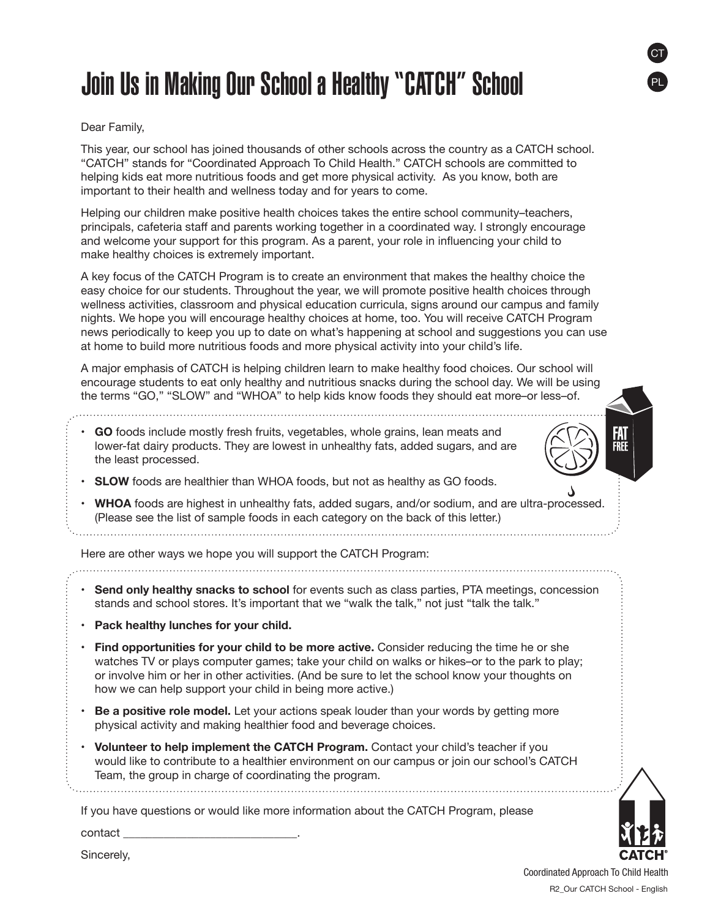## Join Us in Making Our School a Healthy "CATCH" School

#### Dear Family,

l,

This year, our school has joined thousands of other schools across the country as a CATCH school. "CATCH" stands for "Coordinated Approach To Child Health." CATCH schools are committed to helping kids eat more nutritious foods and get more physical activity. As you know, both are important to their health and wellness today and for years to come.

Helping our children make positive health choices takes the entire school community–teachers, principals, cafeteria staff and parents working together in a coordinated way. I strongly encourage and welcome your support for this program. As a parent, your role in influencing your child to make healthy choices is extremely important.

A key focus of the CATCH Program is to create an environment that makes the healthy choice the easy choice for our students. Throughout the year, we will promote positive health choices through wellness activities, classroom and physical education curricula, signs around our campus and family nights. We hope you will encourage healthy choices at home, too. You will receive CATCH Program news periodically to keep you up to date on what's happening at school and suggestions you can use at home to build more nutritious foods and more physical activity into your child's life.

A major emphasis of CATCH is helping children learn to make healthy food choices. Our school will encourage students to eat only healthy and nutritious snacks during the school day. We will be using the terms "GO," "SLOW" and "WHOA" to help kids know foods they should eat more–or less–of.

• **GO** foods include mostly fresh fruits, vegetables, whole grains, lean meats and lower-fat dairy products. They are lowest in unhealthy fats, added sugars, and are the least processed.

- **SLOW** foods are healthier than WHOA foods, but not as healthy as GO foods.
- **WHOA** foods are highest in unhealthy fats, added sugars, and/or sodium, and are ultra-processed. (Please see the list of sample foods in each category on the back of this letter.)

Here are other ways we hope you will support the CATCH Program:

- **Send only healthy snacks to school** for events such as class parties, PTA meetings, concession stands and school stores. It's important that we "walk the talk," not just "talk the talk."
- **Pack healthy lunches for your child.**
- **Find opportunities for your child to be more active.** Consider reducing the time he or she watches TV or plays computer games; take your child on walks or hikes–or to the park to play; or involve him or her in other activities. (And be sure to let the school know your thoughts on how we can help support your child in being more active.)
- **Be a positive role model.** Let your actions speak louder than your words by getting more physical activity and making healthier food and beverage choices.
- **Volunteer to help implement the CATCH Program.** Contact your child's teacher if you would like to contribute to a healthier environment on our campus or join our school's CATCH Team, the group in charge of coordinating the program.

If you have questions or would like more information about the CATCH Program, please

contact \_\_\_\_\_\_\_\_\_\_\_\_\_\_\_\_\_\_\_\_\_\_\_\_\_\_\_\_\_\_.

Sincerely,

Coordinated Approach To Child Health R2\_Our CATCH School - English

CT

PL